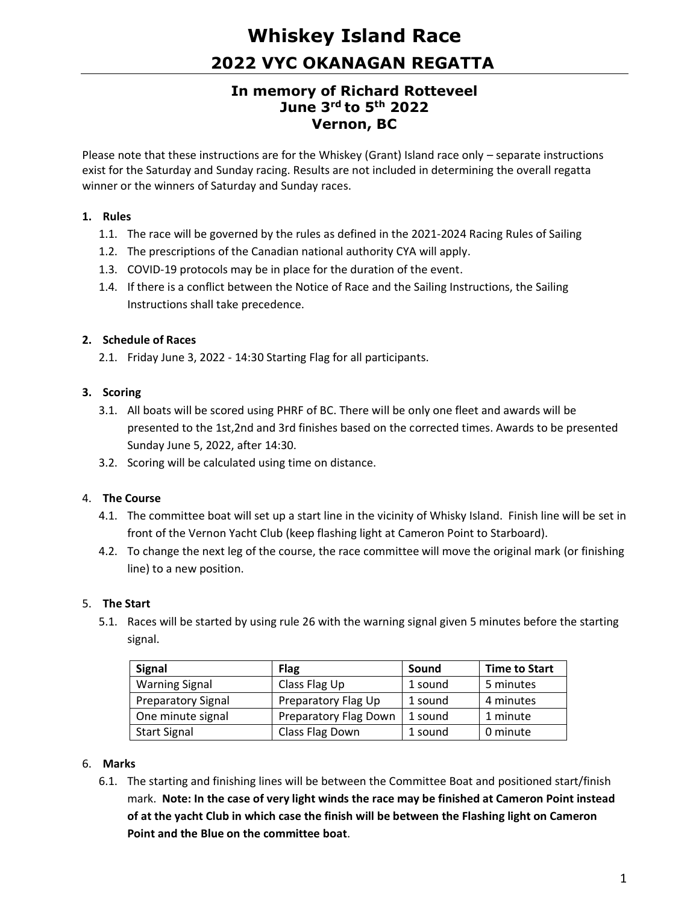# **Whiskey Island Race 2022 VYC OKANAGAN REGATTA**

# **In memory of Richard Rotteveel June 3rd to 5th 2022 Vernon, BC**

Please note that these instructions are for the Whiskey (Grant) Island race only – separate instructions exist for the Saturday and Sunday racing. Results are not included in determining the overall regatta winner or the winners of Saturday and Sunday races.

#### **1. Rules**

- 1.1. The race will be governed by the rules as defined in the 2021-2024 Racing Rules of Sailing
- 1.2. The prescriptions of the Canadian national authority CYA will apply.
- 1.3. COVID-19 protocols may be in place for the duration of the event.
- 1.4. If there is a conflict between the Notice of Race and the Sailing Instructions, the Sailing Instructions shall take precedence.

# **2. Schedule of Races**

2.1. Friday June 3, 2022 - 14:30 Starting Flag for all participants.

# **3. Scoring**

- 3.1. All boats will be scored using PHRF of BC. There will be only one fleet and awards will be presented to the 1st,2nd and 3rd finishes based on the corrected times. Awards to be presented Sunday June 5, 2022, after 14:30.
- 3.2. Scoring will be calculated using time on distance.

# 4. **The Course**

- 4.1. The committee boat will set up a start line in the vicinity of Whisky Island. Finish line will be set in front of the Vernon Yacht Club (keep flashing light at Cameron Point to Starboard).
- 4.2. To change the next leg of the course, the race committee will move the original mark (or finishing line) to a new position.

# 5. **The Start**

5.1. Races will be started by using rule 26 with the warning signal given 5 minutes before the starting signal.

| <b>Signal</b>             | <b>Flag</b>           | Sound   | <b>Time to Start</b> |
|---------------------------|-----------------------|---------|----------------------|
| <b>Warning Signal</b>     | Class Flag Up         | 1 sound | 5 minutes            |
| <b>Preparatory Signal</b> | Preparatory Flag Up   | 1 sound | 4 minutes            |
| One minute signal         | Preparatory Flag Down | 1 sound | 1 minute             |
| <b>Start Signal</b>       | Class Flag Down       | 1 sound | 0 minute             |

#### 6. **Marks**

6.1. The starting and finishing lines will be between the Committee Boat and positioned start/finish mark. **Note: In the case of very light winds the race may be finished at Cameron Point instead of at the yacht Club in which case the finish will be between the Flashing light on Cameron Point and the Blue on the committee boat**.